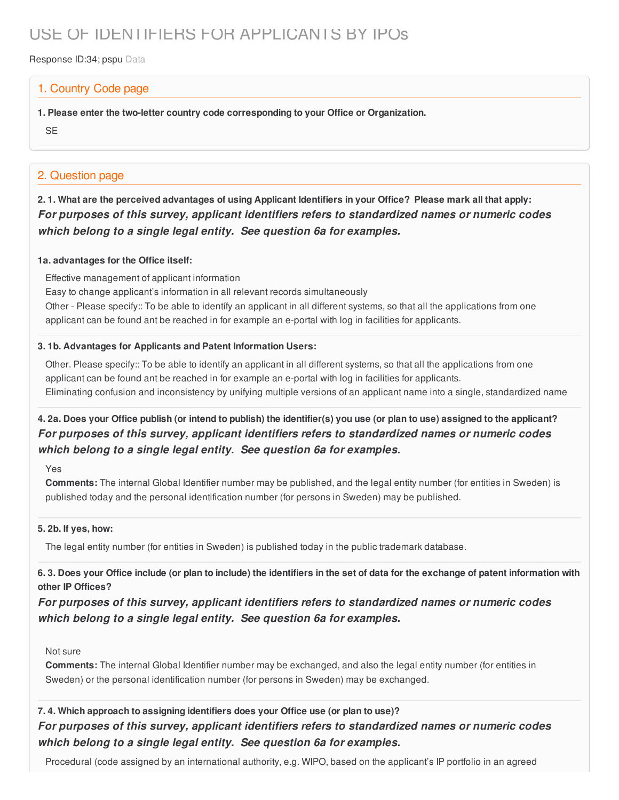# USE OF IDENTIFIERS FOR APPLICANTS BY IPOs

Response ID:34; pspu Data

### 1. Country Code page

- **1. Please enter the two-letter country code corresponding to your Office or Organization.**
- **SE**

### 2. Question page

2.1. What are the perceived advantages of using Applicant Identifiers in your Office? Please mark all that apply: *For purposes of this survey, applicant identifiers refers to standardized names or numeric codes which belong to a single legal entity. See question 6a for examples.*

#### **1a. advantages for the Office itself:**

Effective management of applicant information

Easy to change applicant's information in all relevant records simultaneously

Other - Please specify:: To be able to identífy an applicant in all different systems, so that all the applications from one applicant can be found ant be reached in for example an e-portal with log in facilities for applicants.

#### **3. 1b. Advantages for Applicants and Patent Information Users:**

Other. Please specify:: To be able to identífy an applicant in all different systems, so that all the applications from one applicant can be found ant be reached in for example an e-portal with log in facilities for applicants. Eliminating confusion and inconsistency by unifying multiple versions of an applicant name into a single, standardized name

### 4. 2a. Does your Office publish (or intend to publish) the identifier(s) you use (or plan to use) assigned to the applicant? *For purposes of this survey, applicant identifiers refers to standardized names or numeric codes which belong to a single legal entity. See question 6a for examples.*

Yes

**Comments:** The internal Global Identifier number may be published, and the legal entity number (for entities in Sweden) is published today and the personal identification number (for persons in Sweden) may be published.

#### **5. 2b. If yes, how:**

The legal entity number (for entities in Sweden) is published today in the public trademark database.

6.3. Does your Office include (or plan to include) the identifiers in the set of data for the exchange of patent information with **other IP Offices?**

*For purposes of this survey, applicant identifiers refers to standardized names or numeric codes which belong to a single legal entity. See question 6a for examples.*

#### Not sure

**Comments:** The internal Global Identifier number may be exchanged, and also the legal entity number (for entities in Sweden) or the personal identification number (for persons in Sweden) may be exchanged.

### **7. 4. Which approach to assigning identifiers does your Office use (or plan to use)?** *For purposes of this survey, applicant identifiers refers to standardized names or numeric codes which belong to a single legal entity. See question 6a for examples.*

Procedural (code assigned by an international authority, e.g. WIPO, based on the applicant's IP portfolio in an agreed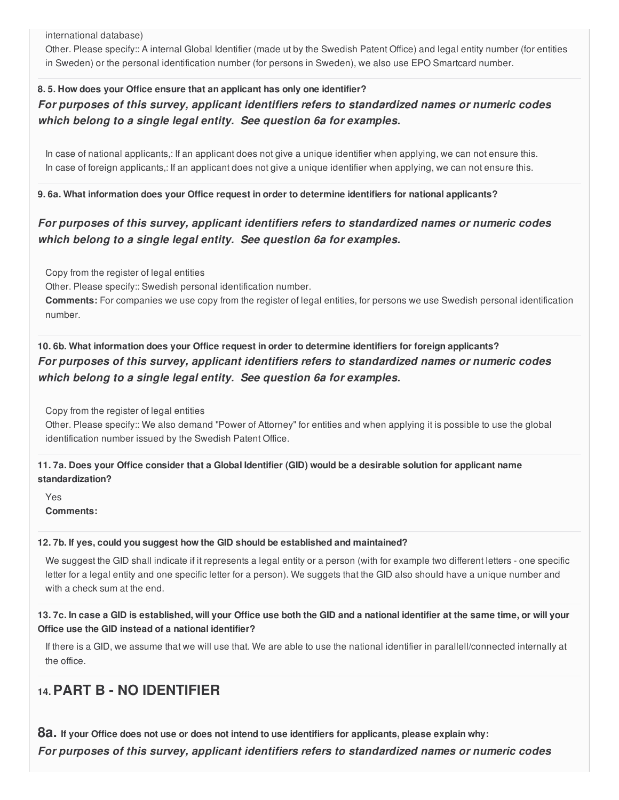international database)

Other. Please specify:: A internal Global Identifier (made ut by the Swedish Patent Office) and legal entity number (for entities in Sweden) or the personal identification number (for persons in Sweden), we also use EPO Smartcard number.

### **8. 5. How does your Office ensure that an applicant has only one identifier?** *For purposes of this survey, applicant identifiers refers to standardized names or numeric codes which belong to a single legal entity. See question 6a for examples.*

In case of national applicants,: If an applicant does not give a unique identifier when applying, we can not ensure this. In case of foreign applicants,: If an applicant does not give a unique identifier when applying, we can not ensure this.

**9. 6a. What information does your Office request in order to determine identifiers for national applicants?**

### *For purposes of this survey, applicant identifiers refers to standardized names or numeric codes which belong to a single legal entity. See question 6a for examples.*

Copy from the register of legal entities

Other. Please specify:: Swedish personal identification number.

**Comments:** For companies we use copy from the register of legal entities, for persons we use Swedish personal identification number.

**10. 6b. What information does your Office request in order to determine identifiers for foreign applicants?** *For purposes of this survey, applicant identifiers refers to standardized names or numeric codes which belong to a single legal entity. See question 6a for examples.*

Copy from the register of legal entities

Other. Please specify:: We also demand "Power of Attorney" for entities and when applying it is possible to use the global identification number issued by the Swedish Patent Office.

11.7a. Does your Office consider that a Global Identifier (GID) would be a desirable solution for applicant name **standardization?**

Yes **Comments:**

#### **12. 7b. If yes, could you suggest how the GID should be established and maintained?**

We suggest the GID shall indicate if it represents a legal entity or a person (with for example two different letters - one specific letter for a legal entity and one specific letter for a person). We suggets that the GID also should have a unique number and with a check sum at the end.

13.7c. In case a GID is established, will your Office use both the GID and a national identifier at the same time, or will your **Office use the GID instead of a national identifier?**

If there is a GID, we assume that we will use that. We are able to use the national identifier in parallell/connected internally at the office.

## **14.PART B - NO IDENTIFIER**

8a. If your Office does not use or does not intend to use identifiers for applicants, please explain why:

*For purposes of this survey, applicant identifiers refers to standardized names or numeric codes*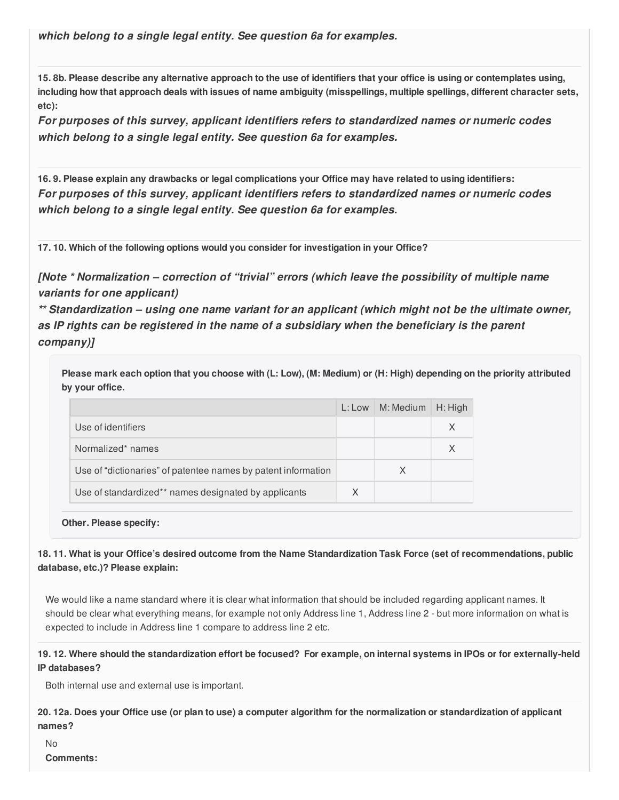*which belong to a single legal entity. See question 6a for examples.*

15.8b. Please describe any alternative approach to the use of identifiers that your office is using or contemplates using, including how that approach deals with issues of name ambiguity (misspellings, multiple spellings, different character sets, **etc):**

*For purposes of this survey, applicant identifiers refers to standardized names or numeric codes which belong to a single legal entity. See question 6a for examples.*

16.9. Please explain any drawbacks or legal complications your Office may have related to using identifiers: *For purposes of this survey, applicant identifiers refers to standardized names or numeric codes which belong to a single legal entity. See question 6a for examples.*

**17. 10. Which of the following options would you consider for investigation in your Office?**

*[Note \* Normalization – correction of "trivial" errors (which leave the possibility of multiple name variants for one applicant)*

*\*\* Standardization – using one name variant for an applicant (which might not be the ultimate owner, as IP rights can be registered in the name of a subsidiary when the beneficiary is the parent company)]*

Please mark each option that you choose with (L: Low), (M: Medium) or (H: High) depending on the priority attributed **by your office.**

|                                                               | $L:$ Low | M: Medium | $H:$ High |
|---------------------------------------------------------------|----------|-----------|-----------|
| Use of identifiers                                            |          |           |           |
| Normalized* names                                             |          |           |           |
| Use of "dictionaries" of patentee names by patent information |          | X         |           |
| Use of standardized** names designated by applicants          | X        |           |           |

**Other. Please specify:**

18.11. What is your Office's desired outcome from the Name Standardization Task Force (set of recommendations, public **database, etc.)? Please explain:**

We would like a name standard where it is clear what information that should be included regarding applicant names. It should be clear what everything means, for example not only Address line 1, Address line 2 - but more information on what is expected to include in Address line 1 compare to address line 2 etc.

19.12. Where should the standardization effort be focused? For example, on internal systems in IPOs or for externally-held **IP databases?**

Both internal use and external use is important.

20.12a. Does your Office use (or plan to use) a computer algorithm for the normalization or standardization of applicant **names?**

No **Comments:**